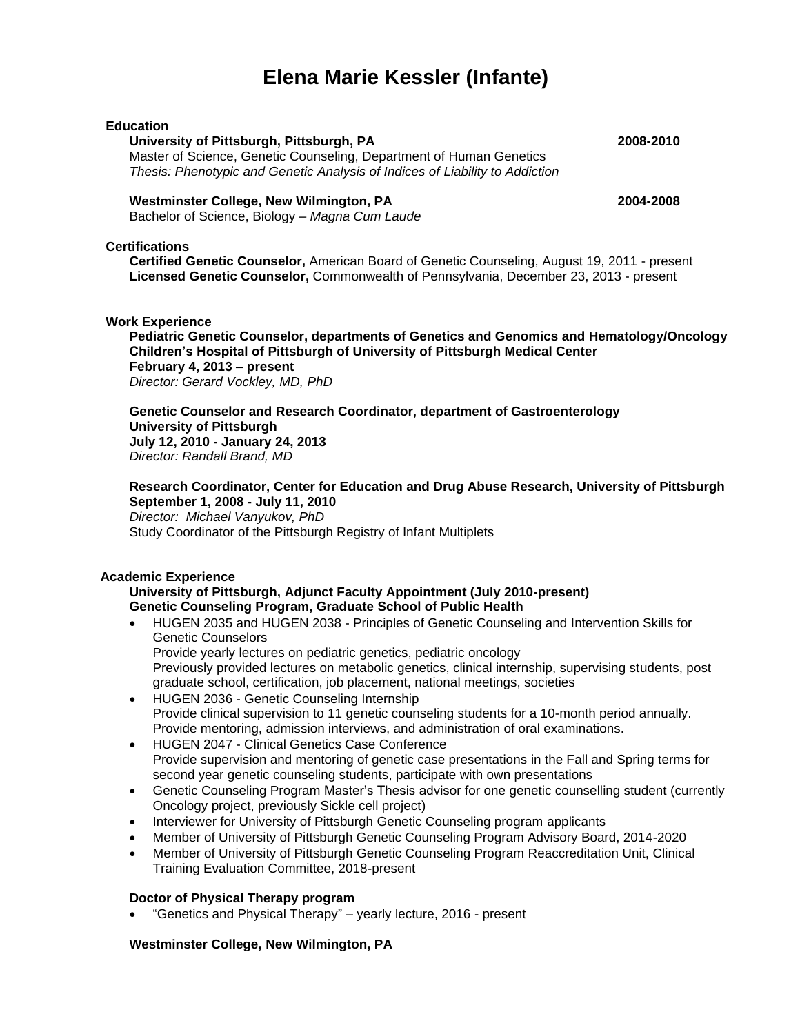# **Elena Marie Kessler (Infante)**

## **Education University of Pittsburgh, Pittsburgh, PA 2008-2010** Master of Science, Genetic Counseling, Department of Human Genetics *Thesis: Phenotypic and Genetic Analysis of Indices of Liability to Addiction* **Westminster College, New Wilmington, PA 2004-2008**

Bachelor of Science, Biology – *Magna Cum Laude*

#### **Certifications**

**Certified Genetic Counselor,** American Board of Genetic Counseling, August 19, 2011 - present **Licensed Genetic Counselor,** Commonwealth of Pennsylvania, December 23, 2013 - present

#### **Work Experience**

**Pediatric Genetic Counselor, departments of Genetics and Genomics and Hematology/Oncology Children's Hospital of Pittsburgh of University of Pittsburgh Medical Center February 4, 2013 – present** *Director: Gerard Vockley, MD, PhD*

#### **Genetic Counselor and Research Coordinator, department of Gastroenterology University of Pittsburgh July 12, 2010 - January 24, 2013** *Director: Randall Brand, MD*

**Research Coordinator, Center for Education and Drug Abuse Research, University of Pittsburgh September 1, 2008 - July 11, 2010** *Director: Michael Vanyukov, PhD* Study Coordinator of the Pittsburgh Registry of Infant Multiplets

## **Academic Experience**

## **University of Pittsburgh, Adjunct Faculty Appointment (July 2010-present) Genetic Counseling Program, Graduate School of Public Health**

- HUGEN 2035 and HUGEN 2038 Principles of Genetic Counseling and Intervention Skills for Genetic Counselors Provide yearly lectures on pediatric genetics, pediatric oncology Previously provided lectures on metabolic genetics, clinical internship, supervising students, post
- graduate school, certification, job placement, national meetings, societies • HUGEN 2036 - Genetic Counseling Internship Provide clinical supervision to 11 genetic counseling students for a 10-month period annually. Provide mentoring, admission interviews, and administration of oral examinations.
- HUGEN 2047 Clinical Genetics Case Conference Provide supervision and mentoring of genetic case presentations in the Fall and Spring terms for second year genetic counseling students, participate with own presentations
- Genetic Counseling Program Master's Thesis advisor for one genetic counselling student (currently Oncology project, previously Sickle cell project)
- Interviewer for University of Pittsburgh Genetic Counseling program applicants
- Member of University of Pittsburgh Genetic Counseling Program Advisory Board, 2014-2020
- Member of University of Pittsburgh Genetic Counseling Program Reaccreditation Unit, Clinical Training Evaluation Committee, 2018-present

## **Doctor of Physical Therapy program**

• "Genetics and Physical Therapy" – yearly lecture, 2016 - present

#### **Westminster College, New Wilmington, PA**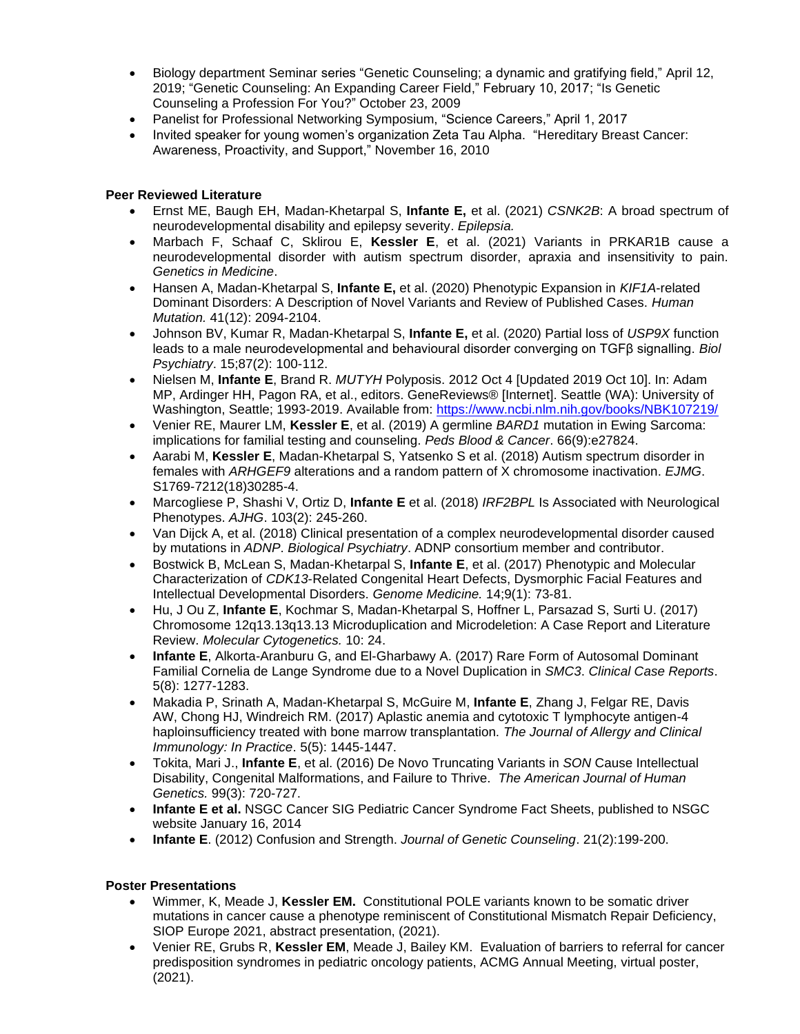- Biology department Seminar series "Genetic Counseling; a dynamic and gratifying field," April 12, 2019; "Genetic Counseling: An Expanding Career Field," February 10, 2017; "Is Genetic Counseling a Profession For You?" October 23, 2009
- Panelist for Professional Networking Symposium, "Science Careers," April 1, 2017
- Invited speaker for young women's organization Zeta Tau Alpha. "Hereditary Breast Cancer: Awareness, Proactivity, and Support," November 16, 2010

## **Peer Reviewed Literature**

- Ernst ME, Baugh EH, Madan-Khetarpal S, **Infante E,** et al. (2021) *CSNK2B*: A broad spectrum of neurodevelopmental disability and epilepsy severity. *Epilepsia.*
- Marbach F, Schaaf C, Sklirou E, **Kessler E**, et al. (2021) Variants in PRKAR1B cause a neurodevelopmental disorder with autism spectrum disorder, apraxia and insensitivity to pain. *Genetics in Medicine*.
- Hansen A, Madan-Khetarpal S, **Infante E,** et al. (2020) Phenotypic Expansion in *KIF1A*-related Dominant Disorders: A Description of Novel Variants and Review of Published Cases. *Human Mutation.* 41(12): 2094-2104.
- Johnson BV, Kumar R, Madan-Khetarpal S, **Infante E,** et al. (2020) Partial loss of *USP9X* function leads to a male neurodevelopmental and behavioural disorder converging on TGFβ signalling. *Biol Psychiatry*. 15;87(2): 100-112.
- Nielsen M, **Infante E**, Brand R. *MUTYH* Polyposis. 2012 Oct 4 [Updated 2019 Oct 10]. In: Adam MP, Ardinger HH, Pagon RA, et al., editors. GeneReviews® [Internet]. Seattle (WA): University of Washington, Seattle; 1993-2019. Available from:<https://www.ncbi.nlm.nih.gov/books/NBK107219/>
- Venier RE, Maurer LM, **Kessler E**, et al. (2019) A germline *BARD1* mutation in Ewing Sarcoma: implications for familial testing and counseling. *Peds Blood & Cancer*. 66(9):e27824.
- Aarabi M, **Kessler E**, Madan-Khetarpal S, Yatsenko S et al. (2018) Autism spectrum disorder in females with *ARHGEF9* alterations and a random pattern of X chromosome inactivation. *EJMG*. S1769-7212(18)30285-4.
- Marcogliese P, Shashi V, Ortiz D, **Infante E** et al. (2018) *IRF2BPL* Is Associated with Neurological Phenotypes. *AJHG*. 103(2): 245-260.
- Van Dijck A, et al. (2018) Clinical presentation of a complex neurodevelopmental disorder caused by mutations in *ADNP*. *Biological Psychiatry*. ADNP consortium member and contributor.
- Bostwick B, McLean S, Madan-Khetarpal S, **Infante E**, et al. (2017) Phenotypic and Molecular Characterization of *CDK13*-Related Congenital Heart Defects, Dysmorphic Facial Features and Intellectual Developmental Disorders. *Genome Medicine.* 14;9(1): 73-81.
- Hu, J Ou Z, **Infante E**, Kochmar S, Madan-Khetarpal S, Hoffner L, Parsazad S, Surti U. (2017) Chromosome 12q13.13q13.13 Microduplication and Microdeletion: A Case Report and Literature Review. *Molecular Cytogenetics.* 10: 24.
- **Infante E**, Alkorta-Aranburu G, and El-Gharbawy A. (2017) Rare Form of Autosomal Dominant Familial Cornelia de Lange Syndrome due to a Novel Duplication in *SMC3*. *Clinical Case Reports*. 5(8): 1277-1283.
- [Makadia P,](https://www.ncbi.nlm.nih.gov/pubmed/?term=Makadia%20P%5BAuthor%5D&cauthor=true&cauthor_uid=28499781) [Srinath A,](https://www.ncbi.nlm.nih.gov/pubmed/?term=Srinath%20A%5BAuthor%5D&cauthor=true&cauthor_uid=28499781) [Madan-Khetarpal S,](https://www.ncbi.nlm.nih.gov/pubmed/?term=Madan-Khetarpal%20S%5BAuthor%5D&cauthor=true&cauthor_uid=28499781) [McGuire M,](https://www.ncbi.nlm.nih.gov/pubmed/?term=McGuire%20M%5BAuthor%5D&cauthor=true&cauthor_uid=28499781) **[Infante E](https://www.ncbi.nlm.nih.gov/pubmed/?term=Infante%20E%5BAuthor%5D&cauthor=true&cauthor_uid=28499781)**, [Zhang J,](https://www.ncbi.nlm.nih.gov/pubmed/?term=Zhang%20J%5BAuthor%5D&cauthor=true&cauthor_uid=28499781) [Felgar RE,](https://www.ncbi.nlm.nih.gov/pubmed/?term=Felgar%20RE%5BAuthor%5D&cauthor=true&cauthor_uid=28499781) [Davis](https://www.ncbi.nlm.nih.gov/pubmed/?term=Davis%20AW%5BAuthor%5D&cauthor=true&cauthor_uid=28499781)  [AW,](https://www.ncbi.nlm.nih.gov/pubmed/?term=Davis%20AW%5BAuthor%5D&cauthor=true&cauthor_uid=28499781) [Chong HJ,](https://www.ncbi.nlm.nih.gov/pubmed/?term=Chong%20HJ%5BAuthor%5D&cauthor=true&cauthor_uid=28499781) [Windreich RM.](https://www.ncbi.nlm.nih.gov/pubmed/?term=Windreich%20RM%5BAuthor%5D&cauthor=true&cauthor_uid=28499781) (2017) Aplastic anemia and cytotoxic T lymphocyte antigen-4 haploinsufficiency treated with bone marrow transplantation. *The Journal of Allergy and Clinical Immunology: In Practice*. 5(5): 1445-1447.
- Tokita, Mari J., **Infante E**, et al. (2016) De Novo Truncating Variants in *SON* Cause Intellectual Disability, Congenital Malformations, and Failure to Thrive. *The American Journal of Human Genetics.* 99(3): 720-727.
- **Infante E et al.** NSGC Cancer SIG Pediatric Cancer Syndrome Fact Sheets, published to NSGC website January 16, 2014
- **Infante E**. (2012) Confusion and Strength. *Journal of Genetic Counseling*. 21(2):199-200.

## **Poster Presentations**

- Wimmer, K, Meade J, **Kessler EM.** Constitutional POLE variants known to be somatic driver mutations in cancer cause a phenotype reminiscent of Constitutional Mismatch Repair Deficiency, SIOP Europe 2021, abstract presentation, (2021).
- Venier RE, Grubs R, **Kessler EM**, Meade J, Bailey KM. Evaluation of barriers to referral for cancer predisposition syndromes in pediatric oncology patients, ACMG Annual Meeting, virtual poster, (2021).